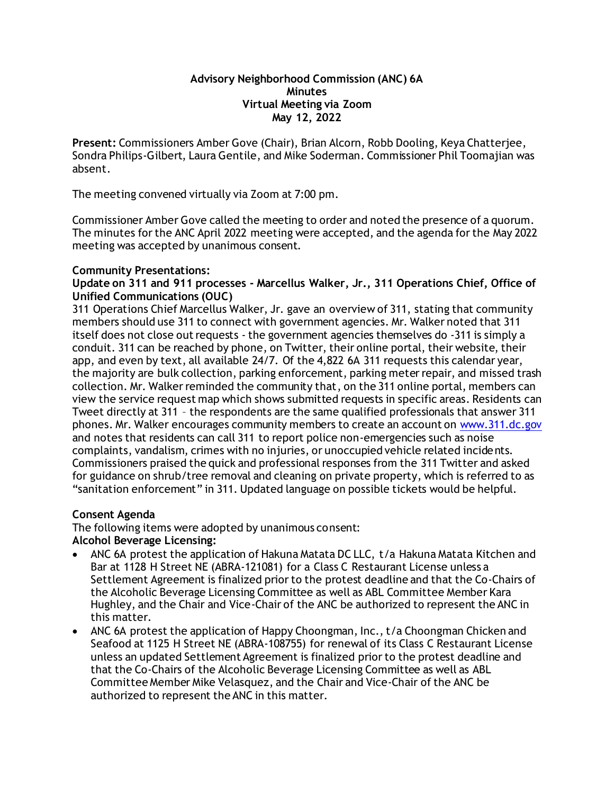#### **Advisory Neighborhood Commission (ANC) 6A Minutes Virtual Meeting via Zoom May 12, 2022**

**Present:** Commissioners Amber Gove (Chair), Brian Alcorn, Robb Dooling, Keya Chatterjee, Sondra Philips-Gilbert, Laura Gentile, and Mike Soderman. Commissioner Phil Toomajian was absent.

The meeting convened virtually via Zoom at 7:00 pm.

Commissioner Amber Gove called the meeting to order and noted the presence of a quorum. The minutes for the ANC April 2022 meeting were accepted, and the agenda for the May 2022 meeting was accepted by unanimous consent.

## **Community Presentations:**

### **Update on 311 and 911 processes - Marcellus Walker, Jr., 311 Operations Chief, Office of Unified Communications (OUC)**

311 Operations Chief Marcellus Walker, Jr. gave an overview of 311, stating that community members should use 311 to connect with government agencies. Mr. Walker noted that 311 itself does not close out requests - the government agencies themselves do -311 is simply a conduit. 311 can be reached by phone, on Twitter, their online portal, their website, their app, and even by text, all available 24/7. Of the 4,822 6A 311 requests this calendar year, the majority are bulk collection, parking enforcement, parking meter repair, and missed trash collection. Mr. Walker reminded the community that, on the 311 online portal, members can view the service request map which shows submitted requests in specific areas. Residents can Tweet directly at 311 – the respondents are the same qualified professionals that answer 311 phones. Mr. Walker encourages community members to create an account o[n www.311.dc.gov](http://www.311.dc.gov/) and notes that residents can call 311 to report police non-emergencies such as noise complaints, vandalism, crimes with no injuries, or unoccupied vehicle related incidents. Commissioners praised the quick and professional responses from the 311 Twitter and asked for guidance on shrub/tree removal and cleaning on private property, which is referred to as "sanitation enforcement" in 311. Updated language on possible tickets would be helpful.

## **Consent Agenda**

The following items were adopted by unanimous consent: **Alcohol Beverage Licensing:**

- ANC 6A protest the application of Hakuna Matata DC LLC, t/a Hakuna Matata Kitchen and Bar at 1128 H Street NE (ABRA-121081) for a Class C Restaurant License unless a Settlement Agreement is finalized prior to the protest deadline and that the Co-Chairs of the Alcoholic Beverage Licensing Committee as well as ABL Committee Member Kara Hughley, and the Chair and Vice-Chair of the ANC be authorized to represent the ANC in this matter.
- ANC 6A protest the application of Happy Choongman, Inc., t/a Choongman Chicken and Seafood at 1125 H Street NE (ABRA-108755) for renewal of its Class C Restaurant License unless an updated Settlement Agreement is finalized prior to the protest deadline and that the Co-Chairs of the Alcoholic Beverage Licensing Committee as well as ABL Committee Member Mike Velasquez, and the Chair and Vice-Chair of the ANC be authorized to represent the ANC in this matter.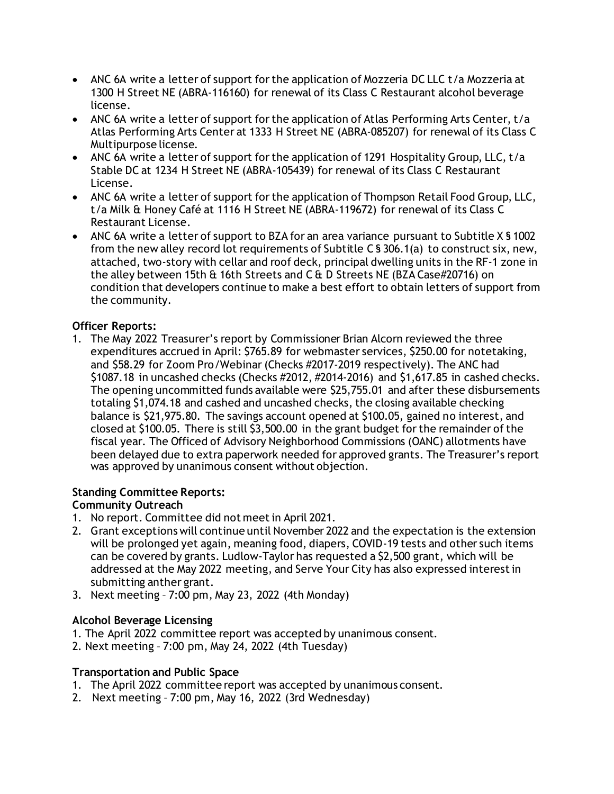- ANC 6A write a letter of support for the application of Mozzeria DC LLC t/a Mozzeria at 1300 H Street NE (ABRA-116160) for renewal of its Class C Restaurant alcohol beverage license.
- ANC 6A write a letter of support for the application of Atlas Performing Arts Center, t/a Atlas Performing Arts Center at 1333 H Street NE (ABRA-085207) for renewal of its Class C Multipurpose license.
- ANC 6A write a letter of support for the application of 1291 Hospitality Group, LLC, t/a Stable DC at 1234 H Street NE (ABRA-105439) for renewal of its Class C Restaurant License.
- ANC 6A write a letter of support for the application of Thompson Retail Food Group, LLC, t/a Milk & Honey Café at 1116 H Street NE (ABRA-119672) for renewal of its Class C Restaurant License.
- ANC 6A write a letter of support to BZA for an area variance pursuant to Subtitle X § 1002 from the new alley record lot requirements of Subtitle C § 306.1(a) to construct six, new, attached, two-story with cellar and roof deck, principal dwelling units in the RF-1 zone in the alley between 15th & 16th Streets and C & D Streets NE (BZA Case#20716) on condition that developers continue to make a best effort to obtain letters of support from the community.

# **Officer Reports:**

1. The May 2022 Treasurer's report by Commissioner Brian Alcorn reviewed the three expenditures accrued in April: \$765.89 for webmaster services, \$250.00 for notetaking, and \$58.29 for Zoom Pro/Webinar (Checks #2017-2019 respectively). The ANC had \$1087.18 in uncashed checks (Checks #2012, #2014-2016) and \$1,617.85 in cashed checks. The opening uncommitted funds available were \$25,755.01 and after these disbursements totaling \$1,074.18 and cashed and uncashed checks, the closing available checking balance is \$21,975.80. The savings account opened at \$100.05, gained no interest, and closed at \$100.05. There is still \$3,500.00 in the grant budget for the remainder of the fiscal year. The Officed of Advisory Neighborhood Commissions (OANC) allotments have been delayed due to extra paperwork needed for approved grants. The Treasurer's report was approved by unanimous consent without objection.

# **Standing Committee Reports:**

# **Community Outreach**

- 1. No report. Committee did not meet in April 2021.
- 2. Grant exceptions will continue until November 2022 and the expectation is the extension will be prolonged yet again, meaning food, diapers, COVID-19 tests and other such items can be covered by grants. Ludlow-Taylor has requested a \$2,500 grant, which will be addressed at the May 2022 meeting, and Serve Your City has also expressed interest in submitting anther grant.
- 3. Next meeting 7:00 pm, May 23, 2022 (4th Monday)

# **Alcohol Beverage Licensing**

- 1. The April 2022 committee report was accepted by unanimous consent.
- 2. Next meeting 7:00 pm, May 24, 2022 (4th Tuesday)

## **Transportation and Public Space**

- 1. The April 2022 committee report was accepted by unanimous consent.
- 2. Next meeting 7:00 pm, May 16, 2022 (3rd Wednesday)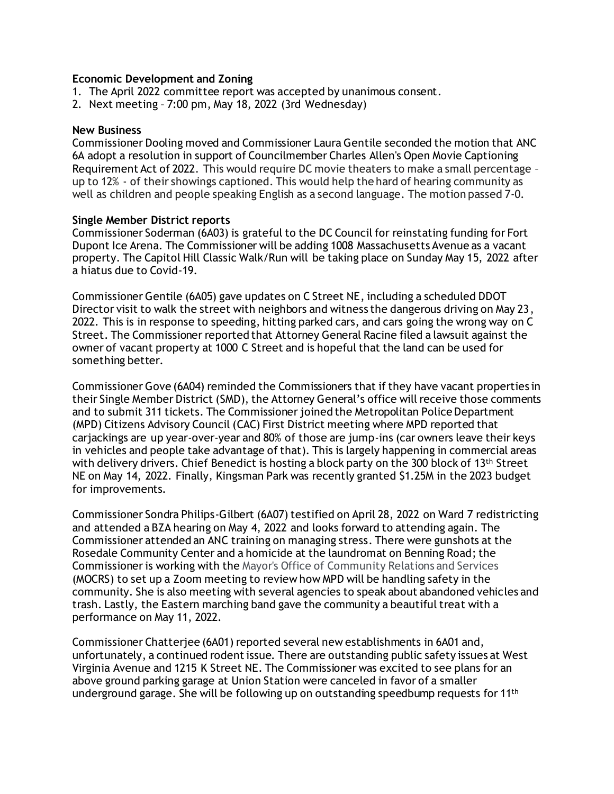### **Economic Development and Zoning**

- 1. The April 2022 committee report was accepted by unanimous consent.
- 2. Next meeting 7:00 pm, May 18, 2022 (3rd Wednesday)

#### **New Business**

Commissioner Dooling moved and Commissioner Laura Gentile seconded the motion that ANC 6A adopt a resolution in support of Councilmember Charles Allen's Open Movie Captioning Requirement Act of 2022. This would require DC movie theaters to make a small percentage – up to 12% - of their showings captioned. This would help the hard of hearing community as well as children and people speaking English as a second language. The motion passed 7-0.

### **Single Member District reports**

Commissioner Soderman (6A03) is grateful to the DC Council for reinstating funding for Fort Dupont Ice Arena. The Commissioner will be adding 1008 Massachusetts Avenue as a vacant property. The Capitol Hill Classic Walk/Run will be taking place on Sunday May 15, 2022 after a hiatus due to Covid-19.

Commissioner Gentile (6A05) gave updates on C Street NE, including a scheduled DDOT Director visit to walk the street with neighbors and witness the dangerous driving on May 23, 2022. This is in response to speeding, hitting parked cars, and cars going the wrong way on C Street. The Commissioner reported that Attorney General Racine filed a lawsuit against the owner of vacant property at 1000 C Street and is hopeful that the land can be used for something better.

Commissioner Gove (6A04) reminded the Commissioners that if they have vacant properties in their Single Member District (SMD), the Attorney General's office will receive those comments and to submit 311 tickets. The Commissioner joined the Metropolitan Police Department (MPD) Citizens Advisory Council (CAC) First District meeting where MPD reported that carjackings are up year-over-year and 80% of those are jump-ins (car owners leave their keys in vehicles and people take advantage of that). This is largely happening in commercial areas with delivery drivers. Chief Benedict is hosting a block party on the 300 block of 13<sup>th</sup> Street NE on May 14, 2022. Finally, Kingsman Park was recently granted \$1.25M in the 2023 budget for improvements.

Commissioner Sondra Philips-Gilbert (6A07) testified on April 28, 2022 on Ward 7 redistricting and attended a BZA hearing on May 4, 2022 and looks forward to attending again. The Commissioner attended an ANC training on managing stress. There were gunshots at the Rosedale Community Center and a homicide at the laundromat on Benning Road; the Commissioner is working with the Mayor's Office of Community Relations and Services (MOCRS) to set up a Zoom meeting to review how MPD will be handling safety in the community. She is also meeting with several agencies to speak about abandoned vehicles and trash. Lastly, the Eastern marching band gave the community a beautiful treat with a performance on May 11, 2022.

Commissioner Chatterjee (6A01) reported several new establishments in 6A01 and, unfortunately, a continued rodent issue. There are outstanding public safety issues at West Virginia Avenue and 1215 K Street NE. The Commissioner was excited to see plans for an above ground parking garage at Union Station were canceled in favor of a smaller underground garage. She will be following up on outstanding speedbump requests for 11<sup>th</sup>